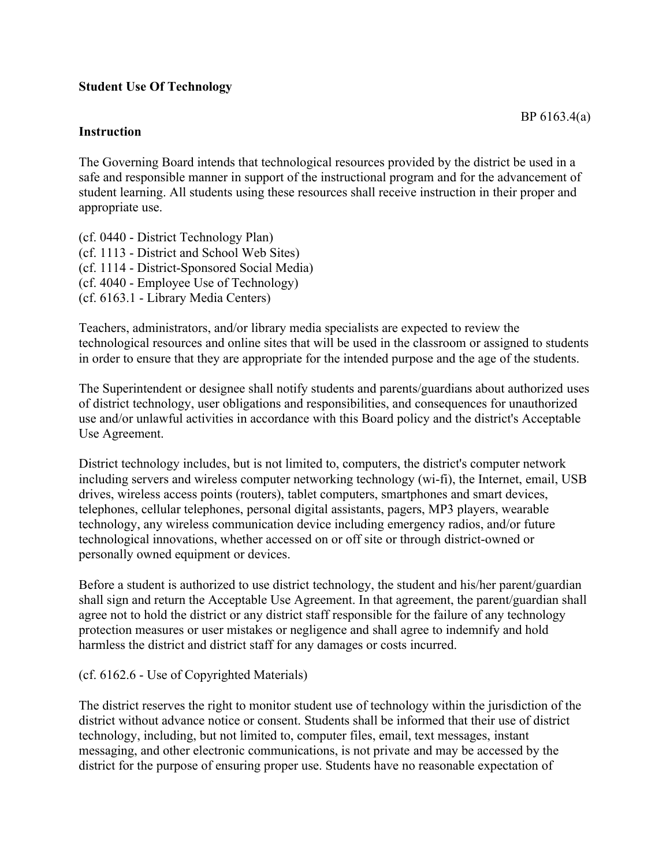## **Student Use Of Technology**

## **Instruction**

The Governing Board intends that technological resources provided by the district be used in a safe and responsible manner in support of the instructional program and for the advancement of student learning. All students using these resources shall receive instruction in their proper and appropriate use.

(cf. 0440 - District Technology Plan) (cf. 1113 - District and School Web Sites) (cf. 1114 - District-Sponsored Social Media) (cf. 4040 - Employee Use of Technology) (cf. 6163.1 - Library Media Centers)

Teachers, administrators, and/or library media specialists are expected to review the technological resources and online sites that will be used in the classroom or assigned to students in order to ensure that they are appropriate for the intended purpose and the age of the students.

The Superintendent or designee shall notify students and parents/guardians about authorized uses of district technology, user obligations and responsibilities, and consequences for unauthorized use and/or unlawful activities in accordance with this Board policy and the district's Acceptable Use Agreement.

District technology includes, but is not limited to, computers, the district's computer network including servers and wireless computer networking technology (wi-fi), the Internet, email, USB drives, wireless access points (routers), tablet computers, smartphones and smart devices, telephones, cellular telephones, personal digital assistants, pagers, MP3 players, wearable technology, any wireless communication device including emergency radios, and/or future technological innovations, whether accessed on or off site or through district-owned or personally owned equipment or devices.

Before a student is authorized to use district technology, the student and his/her parent/guardian shall sign and return the Acceptable Use Agreement. In that agreement, the parent/guardian shall agree not to hold the district or any district staff responsible for the failure of any technology protection measures or user mistakes or negligence and shall agree to indemnify and hold harmless the district and district staff for any damages or costs incurred.

## (cf. 6162.6 - Use of Copyrighted Materials)

The district reserves the right to monitor student use of technology within the jurisdiction of the district without advance notice or consent. Students shall be informed that their use of district technology, including, but not limited to, computer files, email, text messages, instant messaging, and other electronic communications, is not private and may be accessed by the district for the purpose of ensuring proper use. Students have no reasonable expectation of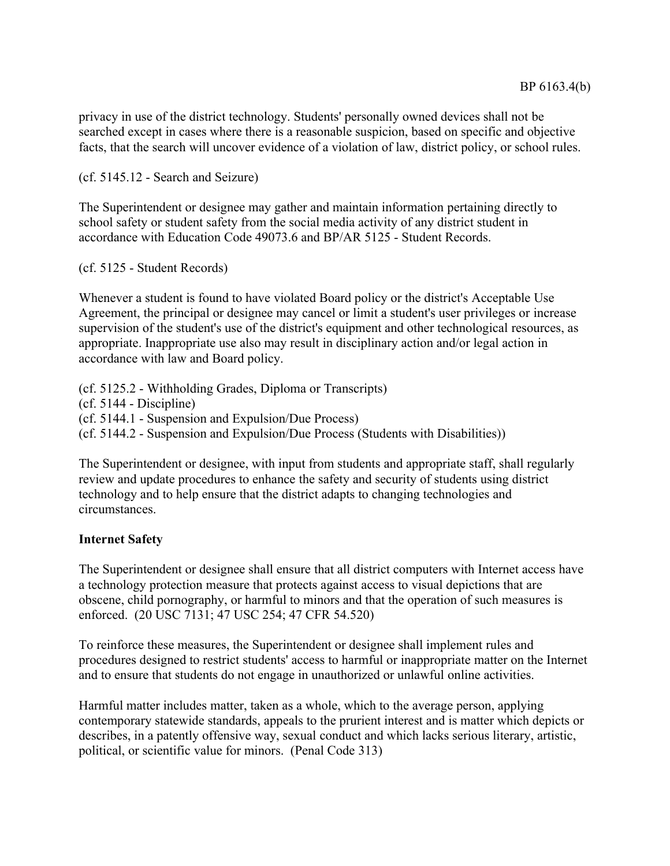privacy in use of the district technology. Students' personally owned devices shall not be searched except in cases where there is a reasonable suspicion, based on specific and objective facts, that the search will uncover evidence of a violation of law, district policy, or school rules.

(cf. 5145.12 - Search and Seizure)

The Superintendent or designee may gather and maintain information pertaining directly to school safety or student safety from the social media activity of any district student in accordance with Education Code 49073.6 and BP/AR 5125 - Student Records.

(cf. 5125 - Student Records)

Whenever a student is found to have violated Board policy or the district's Acceptable Use Agreement, the principal or designee may cancel or limit a student's user privileges or increase supervision of the student's use of the district's equipment and other technological resources, as appropriate. Inappropriate use also may result in disciplinary action and/or legal action in accordance with law and Board policy.

(cf. 5125.2 - Withholding Grades, Diploma or Transcripts) (cf. 5144 - Discipline) (cf. 5144.1 - Suspension and Expulsion/Due Process) (cf. 5144.2 - Suspension and Expulsion/Due Process (Students with Disabilities))

The Superintendent or designee, with input from students and appropriate staff, shall regularly review and update procedures to enhance the safety and security of students using district technology and to help ensure that the district adapts to changing technologies and circumstances.

## **Internet Safety**

The Superintendent or designee shall ensure that all district computers with Internet access have a technology protection measure that protects against access to visual depictions that are obscene, child pornography, or harmful to minors and that the operation of such measures is enforced. (20 USC 7131; 47 USC 254; 47 CFR 54.520)

To reinforce these measures, the Superintendent or designee shall implement rules and procedures designed to restrict students' access to harmful or inappropriate matter on the Internet and to ensure that students do not engage in unauthorized or unlawful online activities.

Harmful matter includes matter, taken as a whole, which to the average person, applying contemporary statewide standards, appeals to the prurient interest and is matter which depicts or describes, in a patently offensive way, sexual conduct and which lacks serious literary, artistic, political, or scientific value for minors. (Penal Code 313)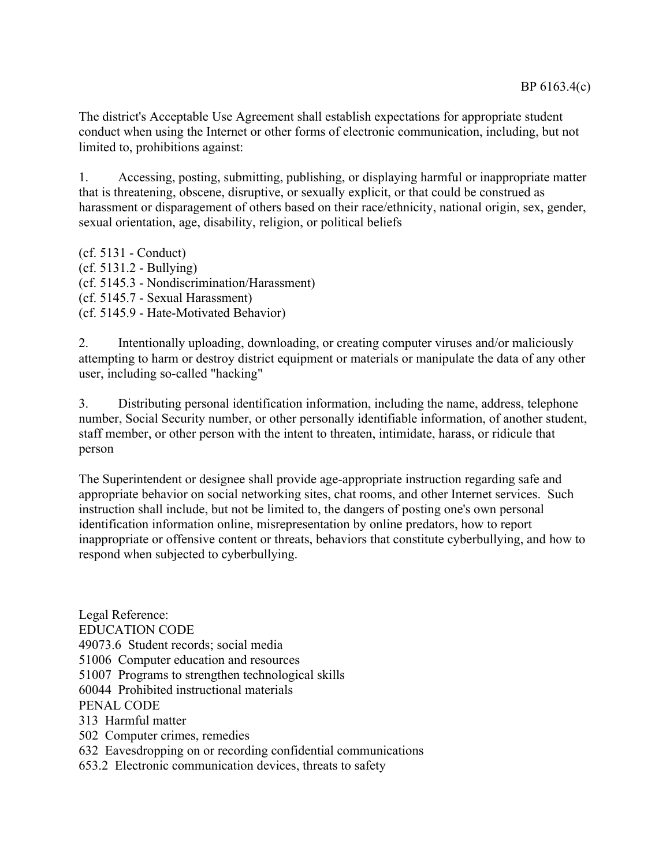The district's Acceptable Use Agreement shall establish expectations for appropriate student conduct when using the Internet or other forms of electronic communication, including, but not limited to, prohibitions against:

1. Accessing, posting, submitting, publishing, or displaying harmful or inappropriate matter that is threatening, obscene, disruptive, or sexually explicit, or that could be construed as harassment or disparagement of others based on their race/ethnicity, national origin, sex, gender, sexual orientation, age, disability, religion, or political beliefs

(cf. 5131 - Conduct) (cf. 5131.2 - Bullying) (cf. 5145.3 - Nondiscrimination/Harassment) (cf. 5145.7 - Sexual Harassment) (cf. 5145.9 - Hate-Motivated Behavior)

2. Intentionally uploading, downloading, or creating computer viruses and/or maliciously attempting to harm or destroy district equipment or materials or manipulate the data of any other user, including so-called "hacking"

3. Distributing personal identification information, including the name, address, telephone number, Social Security number, or other personally identifiable information, of another student, staff member, or other person with the intent to threaten, intimidate, harass, or ridicule that person

The Superintendent or designee shall provide age-appropriate instruction regarding safe and appropriate behavior on social networking sites, chat rooms, and other Internet services. Such instruction shall include, but not be limited to, the dangers of posting one's own personal identification information online, misrepresentation by online predators, how to report inappropriate or offensive content or threats, behaviors that constitute cyberbullying, and how to respond when subjected to cyberbullying.

Legal Reference: EDUCATION CODE 49073.6 Student records; social media 51006 Computer education and resources 51007 Programs to strengthen technological skills 60044 Prohibited instructional materials PENAL CODE 313 Harmful matter 502 Computer crimes, remedies 632 Eavesdropping on or recording confidential communications 653.2 Electronic communication devices, threats to safety